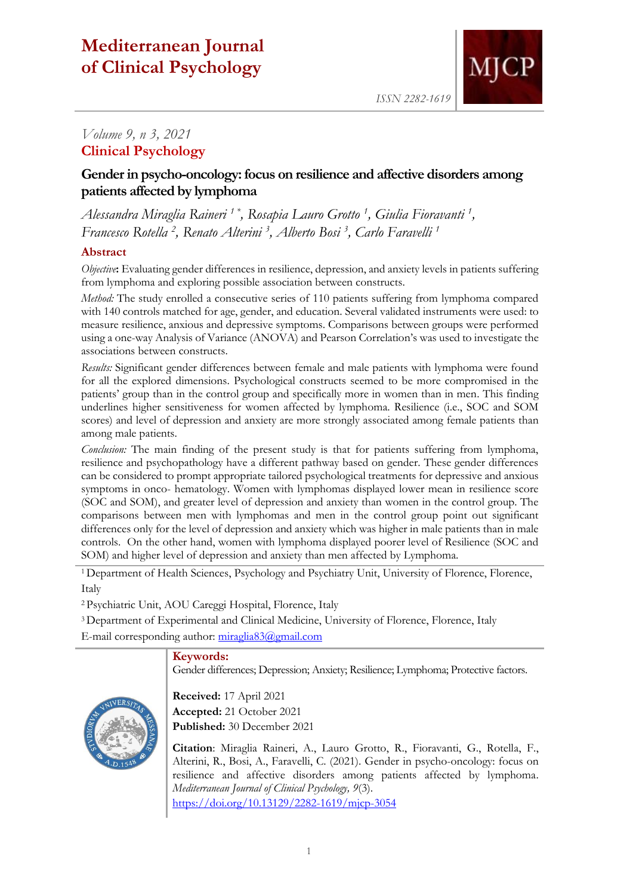# **Mediterranean Journal of Clinical Psychology**



*ISSN 2282-1619*

## *Volume 9, n 3, 2021* **Clinical Psychology**

## **Gender in psycho-oncology: focus on resilience and affective disorders among patients affected by lymphoma**

*Alessandra Miraglia Raineri 1 \*, Rosapia Lauro Grotto <sup>1</sup> , Giulia Fioravanti <sup>1</sup> , Francesco Rotella <sup>2</sup> , Renato Alterini <sup>3</sup> , Alberto Bosi <sup>3</sup> , Carlo Faravelli <sup>1</sup>*

## **Abstract**

*Objective*: Evaluating gender differences in resilience, depression, and anxiety levels in patients suffering from lymphoma and exploring possible association between constructs.

*Method:* The study enrolled a consecutive series of 110 patients suffering from lymphoma compared with 140 controls matched for age, gender, and education. Several validated instruments were used: to measure resilience, anxious and depressive symptoms. Comparisons between groups were performed using a one-way Analysis of Variance (ANOVA) and Pearson Correlation's was used to investigate the associations between constructs.

*Results:* Significant gender differences between female and male patients with lymphoma were found for all the explored dimensions. Psychological constructs seemed to be more compromised in the patients' group than in the control group and specifically more in women than in men. This finding underlines higher sensitiveness for women affected by lymphoma. Resilience (i.e., SOC and SOM scores) and level of depression and anxiety are more strongly associated among female patients than among male patients.

*Conclusion:* The main finding of the present study is that for patients suffering from lymphoma, resilience and psychopathology have a different pathway based on gender. These gender differences can be considered to prompt appropriate tailored psychological treatments for depressive and anxious symptoms in onco- hematology. Women with lymphomas displayed lower mean in resilience score (SOC and SOM), and greater level of depression and anxiety than women in the control group. The comparisons between men with lymphomas and men in the control group point out significant differences only for the level of depression and anxiety which was higher in male patients than in male controls. On the other hand, women with lymphoma displayed poorer level of Resilience (SOC and SOM) and higher level of depression and anxiety than men affected by Lymphoma.

<sup>1</sup>Department of Health Sciences, Psychology and Psychiatry Unit, University of Florence, Florence, Italy

<sup>2</sup>Psychiatric Unit, AOU Careggi Hospital, Florence, Italy

<sup>3</sup>Department of Experimental and Clinical Medicine, University of Florence, Florence, Italy

E-mail corresponding author: [miraglia83@gmail.com](mailto:miraglia83@gmail.com)

## **Keywords:**

Gender differences; Depression; Anxiety; Resilience; Lymphoma; Protective factors.



**Received:** 17 April 2021 **Accepted:** 21 October 2021 **Published:** 30 December 2021

**Citation**: Miraglia Raineri, A., Lauro Grotto, R., Fioravanti, G., Rotella, F., Alterini, R., Bosi, A., Faravelli, C. (2021). Gender in psycho-oncology: focus on resilience and affective disorders among patients affected by lymphoma. *Mediterranean Journal of Clinical Psychology, 9*(3). <https://doi.org/10.13129/2282-1619/mjcp-3054>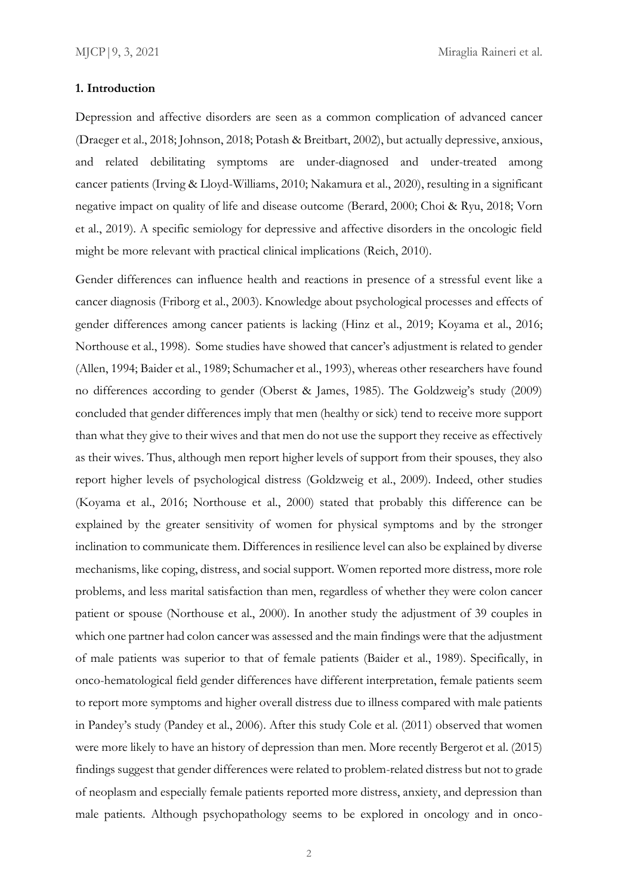#### **1. Introduction**

Depression and affective disorders are seen as a common complication of advanced cancer (Draeger et al., 2018; Johnson, 2018; Potash & Breitbart, 2002), but actually depressive, anxious, and related debilitating symptoms are under-diagnosed and under-treated among cancer patients (Irving & Lloyd-Williams, 2010; Nakamura et al., 2020), resulting in a significant negative impact on quality of life and disease outcome (Berard, 2000; Choi & Ryu, 2018; Vorn et al., 2019). A specific semiology for depressive and affective disorders in the oncologic field might be more relevant with practical clinical implications (Reich, 2010).

Gender differences can influence health and reactions in presence of a stressful event like a cancer diagnosis (Friborg et al., 2003). Knowledge about psychological processes and effects of gender differences among cancer patients is lacking (Hinz et al., 2019; Koyama et al., 2016; Northouse et al., 1998). Some studies have showed that cancer's adjustment is related to gender (Allen, 1994; Baider et al., 1989; Schumacher et al., 1993), whereas other researchers have found no differences according to gender (Oberst & James, 1985). The Goldzweig's study (2009) concluded that gender differences imply that men (healthy or sick) tend to receive more support than what they give to their wives and that men do not use the support they receive as effectively as their wives. Thus, although men report higher levels of support from their spouses, they also report higher levels of psychological distress (Goldzweig et al., 2009). Indeed, other studies (Koyama et al., 2016; Northouse et al., 2000) stated that probably this difference can be explained by the greater sensitivity of women for physical symptoms and by the stronger inclination to communicate them. Differences in resilience level can also be explained by diverse mechanisms, like coping, distress, and social support. Women reported more distress, more role problems, and less marital satisfaction than men, regardless of whether they were colon cancer patient or spouse (Northouse et al., 2000). In another study the adjustment of 39 couples in which one partner had colon cancer was assessed and the main findings were that the adjustment of male patients was superior to that of female patients (Baider et al., 1989). Specifically, in onco-hematological field gender differences have different interpretation, female patients seem to report more symptoms and higher overall distress due to illness compared with male patients in Pandey's study (Pandey et al., 2006). After this study Cole et al. (2011) observed that women were more likely to have an history of depression than men. More recently Bergerot et al. (2015) findings suggest that gender differences were related to problem-related distress but not to grade of neoplasm and especially female patients reported more distress, anxiety, and depression than male patients. Although psychopathology seems to be explored in oncology and in onco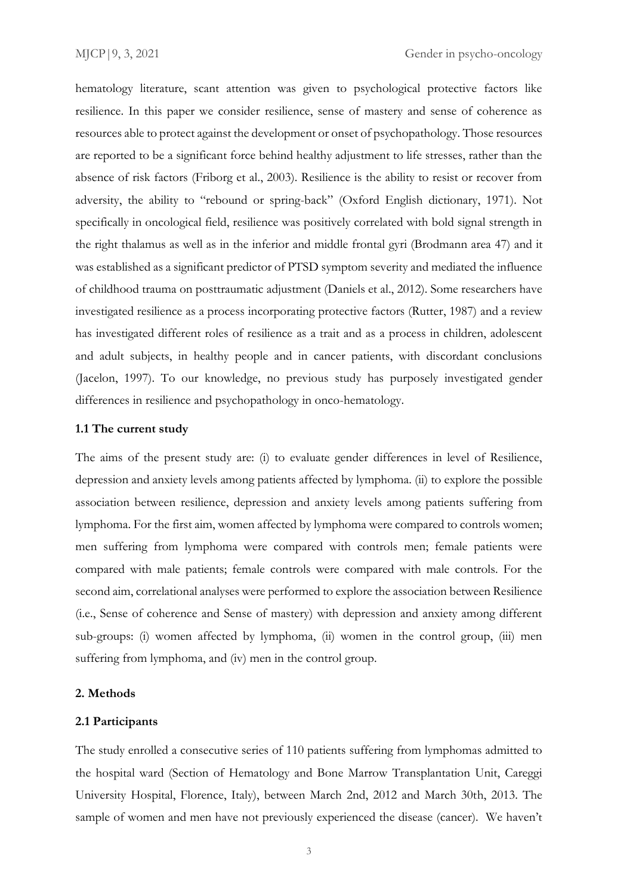hematology literature, scant attention was given to psychological protective factors like resilience. In this paper we consider resilience, sense of mastery and sense of coherence as resources able to protect against the development or onset of psychopathology. Those resources are reported to be a significant force behind healthy adjustment to life stresses, rather than the absence of risk factors (Friborg et al., 2003). Resilience is the ability to resist or recover from adversity, the ability to "rebound or spring-back" (Oxford English dictionary, 1971). Not specifically in oncological field, resilience was positively correlated with bold signal strength in the right thalamus as well as in the inferior and middle frontal gyri (Brodmann area 47) and it was established as a significant predictor of PTSD symptom severity and mediated the influence of childhood trauma on posttraumatic adjustment (Daniels et al., 2012). Some researchers have investigated resilience as a process incorporating protective factors (Rutter, 1987) and a review has investigated different roles of resilience as a trait and as a process in children, adolescent and adult subjects, in healthy people and in cancer patients, with discordant conclusions (Jacelon, 1997). To our knowledge, no previous study has purposely investigated gender differences in resilience and psychopathology in onco-hematology.

### **1.1 The current study**

The aims of the present study are: (i) to evaluate gender differences in level of Resilience, depression and anxiety levels among patients affected by lymphoma. (ii) to explore the possible association between resilience, depression and anxiety levels among patients suffering from lymphoma. For the first aim, women affected by lymphoma were compared to controls women; men suffering from lymphoma were compared with controls men; female patients were compared with male patients; female controls were compared with male controls. For the second aim, correlational analyses were performed to explore the association between Resilience (i.e., Sense of coherence and Sense of mastery) with depression and anxiety among different sub-groups: (i) women affected by lymphoma, (ii) women in the control group, (iii) men suffering from lymphoma, and (iv) men in the control group.

## **2. Methods**

### **2.1 Participants**

The study enrolled a consecutive series of 110 patients suffering from lymphomas admitted to the hospital ward (Section of Hematology and Bone Marrow Transplantation Unit, Careggi University Hospital, Florence, Italy), between March 2nd, 2012 and March 30th, 2013. The sample of women and men have not previously experienced the disease (cancer). We haven't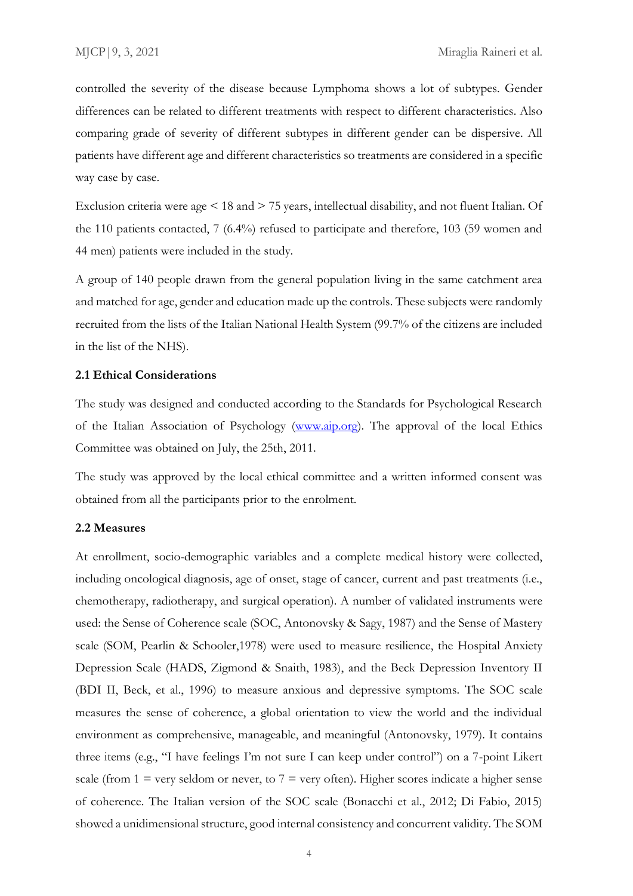controlled the severity of the disease because Lymphoma shows a lot of subtypes. Gender differences can be related to different treatments with respect to different characteristics. Also comparing grade of severity of different subtypes in different gender can be dispersive. All patients have different age and different characteristics so treatments are considered in a specific way case by case.

Exclusion criteria were age < 18 and > 75 years, intellectual disability, and not fluent Italian. Of the 110 patients contacted, 7 (6.4%) refused to participate and therefore, 103 (59 women and 44 men) patients were included in the study.

A group of 140 people drawn from the general population living in the same catchment area and matched for age, gender and education made up the controls. These subjects were randomly recruited from the lists of the Italian National Health System (99.7% of the citizens are included in the list of the NHS).

### **2.1 Ethical Considerations**

The study was designed and conducted according to the Standards for Psychological Research of the Italian Association of Psychology [\(www.aip.org\)](http://www.aip.org/). The approval of the local Ethics Committee was obtained on July, the 25th, 2011.

The study was approved by the local ethical committee and a written informed consent was obtained from all the participants prior to the enrolment.

#### **2.2 Measures**

At enrollment, socio-demographic variables and a complete medical history were collected, including oncological diagnosis, age of onset, stage of cancer, current and past treatments (i.e., chemotherapy, radiotherapy, and surgical operation). A number of validated instruments were used: the Sense of Coherence scale (SOC, Antonovsky & Sagy, 1987) and the Sense of Mastery scale (SOM, Pearlin & Schooler,1978) were used to measure resilience, the Hospital Anxiety Depression Scale (HADS, Zigmond & Snaith, 1983), and the Beck Depression Inventory II (BDI II, Beck, et al., 1996) to measure anxious and depressive symptoms. The SOC scale measures the sense of coherence, a global orientation to view the world and the individual environment as comprehensive, manageable, and meaningful (Antonovsky, 1979). It contains three items (e.g., "I have feelings I'm not sure I can keep under control") on a 7-point Likert scale (from  $1 =$  very seldom or never, to  $7 =$  very often). Higher scores indicate a higher sense of coherence. The Italian version of the SOC scale (Bonacchi et al., 2012; Di Fabio, 2015) showed a unidimensional structure, good internal consistency and concurrent validity. The SOM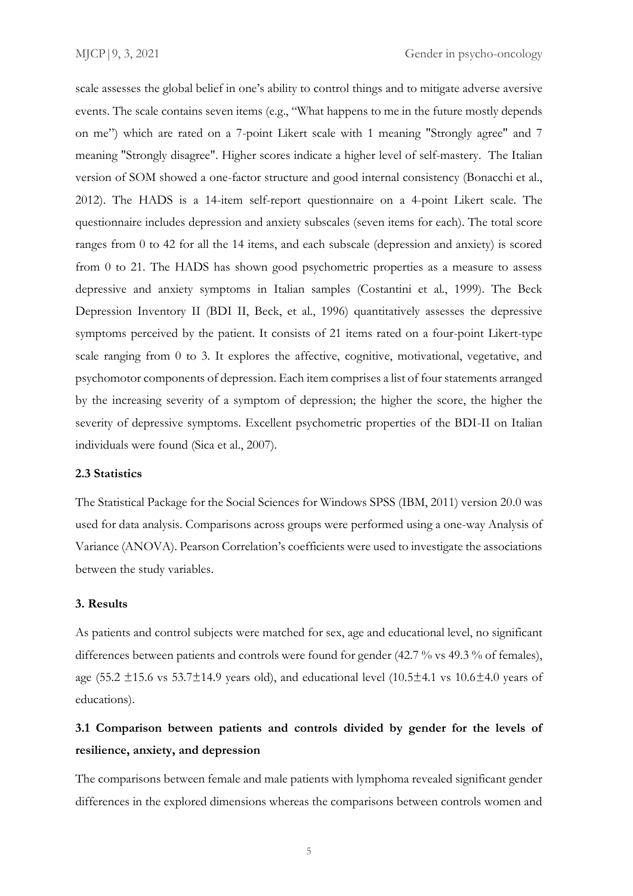scale assesses the global belief in one's ability to control things and to mitigate adverse aversive events. The scale contains seven items (e.g., "What happens to me in the future mostly depends on me") which are rated on a 7-point Likert scale with 1 meaning "Strongly agree" and 7 meaning "Strongly disagree". Higher scores indicate a higher level of self-mastery. The Italian version of SOM showed a one-factor structure and good internal consistency (Bonacchi et al., 2012). The HADS is a 14-item self-report questionnaire on a 4-point Likert scale. The questionnaire includes depression and anxiety subscales (seven items for each). The total score ranges from 0 to 42 for all the 14 items, and each subscale (depression and anxiety) is scored from 0 to 21. The HADS has shown good psychometric properties as a measure to assess depressive and anxiety symptoms in Italian samples (Costantini et al., 1999). The Beck Depression Inventory II (BDI II, Beck, et al., 1996) quantitatively assesses the depressive symptoms perceived by the patient. It consists of 21 items rated on a four-point Likert-type scale ranging from 0 to 3. It explores the affective, cognitive, motivational, vegetative, and psychomotor components of depression. Each item comprises a list of four statements arranged by the increasing severity of a symptom of depression; the higher the score, the higher the severity of depressive symptoms. Excellent psychometric properties of the BDI-II on Italian individuals were found (Sica et al., 2007).

## **2.3 Statistics**

The Statistical Package for the Social Sciences for Windows SPSS (IBM, 2011) version 20.0 was used for data analysis. Comparisons across groups were performed using a one-way Analysis of Variance (ANOVA). Pearson Correlation's coefficients were used to investigate the associations between the study variables.

## **3. Results**

As patients and control subjects were matched for sex, age and educational level, no significant differences between patients and controls were found for gender (42.7 % vs 49.3 % of females), age (55.2  $\pm$ 15.6 vs 53.7 $\pm$ 14.9 years old), and educational level (10.5 $\pm$ 4.1 vs 10.6 $\pm$ 4.0 years of educations).

## **3.1 Comparison between patients and controls divided by gender for the levels of resilience, anxiety, and depression**

The comparisons between female and male patients with lymphoma revealed significant gender differences in the explored dimensions whereas the comparisons between controls women and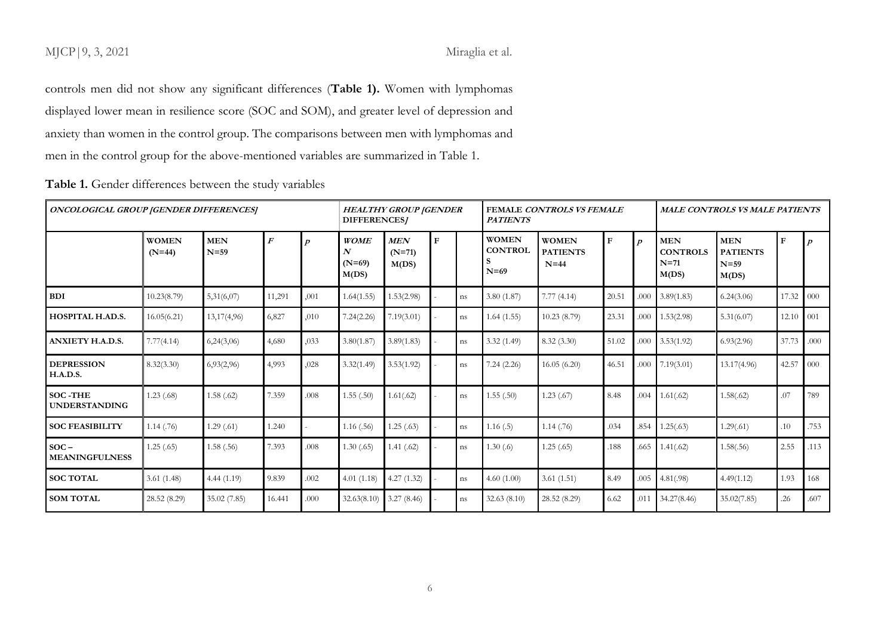## MJCP | 9, 3, 2021 Miraglia et al.

controls men did not show any significant differences (**Table 1).** Women with lymphomas displayed lower mean in resilience score (SOC and SOM), and greater level of depression and anxiety than women in the control group. The comparisons between men with lymphomas and men in the control group for the above-mentioned variables are summarized in Table 1.

| <b>ONCOLOGICAL GROUP [GENDER DIFFERENCES]</b> |                          |                      |                  | <b>HEALTHY GROUP  GENDER</b><br>DIFFERENCES/ |                                       |                                 | FEMALE CONTROLS VS FEMALE<br><b>PATIENTS</b> |    |                                          |                                           | MALE CONTROLS VS MALE PATIENTS |                  |                                                  |                                                  |                   |                  |
|-----------------------------------------------|--------------------------|----------------------|------------------|----------------------------------------------|---------------------------------------|---------------------------------|----------------------------------------------|----|------------------------------------------|-------------------------------------------|--------------------------------|------------------|--------------------------------------------------|--------------------------------------------------|-------------------|------------------|
|                                               | <b>WOMEN</b><br>$(N=44)$ | <b>MEN</b><br>$N=59$ | $\boldsymbol{F}$ | n                                            | <b>WOME</b><br>N<br>$(N=69)$<br>M(DS) | <b>MEN</b><br>$(N=71)$<br>M(DS) | <b>F</b>                                     |    | <b>WOMEN</b><br><b>CONTROL</b><br>$N=69$ | <b>WOMEN</b><br><b>PATIENTS</b><br>$N=44$ | $\mathbf{F}$                   | $\boldsymbol{D}$ | <b>MEN</b><br><b>CONTROLS</b><br>$N=71$<br>M(DS) | <b>MEN</b><br><b>PATIENTS</b><br>$N=59$<br>M(DS) | $\mathbf{F}$      | $\boldsymbol{p}$ |
| <b>BDI</b>                                    | 10.23(8.79)              | 5,31(6,07)           | 11,291           | ,001                                         | 1.64(1.55)                            | 1.53(2.98)                      |                                              | ns | 3.80(1.87)                               | 7.77(4.14)                                | 20.51                          | .000             | 3.89(1.83)                                       | 6.24(3.06)                                       | 17.32             | $\sqrt{000}$     |
| <b>HOSPITAL H.AD.S.</b>                       | 16.05(6.21)              | 13,17(4,96)          | 6,827            | ,010                                         | 7.24(2.26)                            | 7.19(3.01)                      |                                              | ns | 1.64(1.55)                               | 10.23(8.79)                               | 23.31                          | .000             | 1.53(2.98)                                       | 5.31(6.07)                                       | $12.10 \cdot 001$ |                  |
| <b>ANXIETY H.A.D.S.</b>                       | 7.77(4.14)               | 6,24(3,06)           | 4,680            | ,033                                         | 3.80(1.87)                            | 3.89(1.83)                      |                                              | ns | 3.32(1.49)                               | 8.32(3.30)                                | 51.02                          | .000             | 3.53(1.92)                                       | 6.93(2.96)                                       | 37.73             | .000.            |
| <b>DEPRESSION</b><br><b>H.A.D.S.</b>          | 8.32(3.30)               | 6,93(2,96)           | 4,993            | ,028                                         | 3.32(1.49)                            | 3.53(1.92)                      |                                              | ns | 7.24(2.26)                               | 16.05(6.20)                               | 46.51                          | .000             | 7.19(3.01)                                       | 13.17(4.96)                                      | 42.57             | 000              |
| <b>SOC-THE</b><br><b>UNDERSTANDING</b>        | 1.23(0.68)               | 1.58(.62)            | 7.359            | .008                                         | 1.55(.50)                             | 1.61(.62)                       |                                              | ns | 1.55(.50)                                | 1.23(.67)                                 | 8.48                           | .004             | 1.61(.62)                                        | 1.58(.62)                                        | .07               | 789              |
| <b>SOC FEASIBILITY</b>                        | 1.14(.76)                | 1.29(0.61)           | 1.240            |                                              | 1.16(0.56)                            | 1.25(0.63)                      |                                              | ns | 1.16(.5)                                 | 1.14(0.76)                                | .034                           | .854             | 1.25(.63)                                        | 1.29(.61)                                        | 10                | .753             |
| $SOC -$<br><b>MEANINGFULNESS</b>              | 1.25(.65)                | 1.58(.56)            | 7.393            | .008                                         | 1.30(0.65)                            | 1.41(.62)                       |                                              | ns | 1.30(6)                                  | 1.25(.65)                                 | .188                           | .665             | 1.41(.62)                                        | 1.58(.56)                                        | 2.55              | .113             |
| <b>SOC TOTAL</b>                              | 3.61(1.48)               | 4.44(1.19)           | 9.839            | .002                                         | 4.01(1.18)                            | 4.27(1.32)                      |                                              | ns | 4.60(1.00)                               | 3.61(1.51)                                | 8.49                           | .005             | 4.81(.98)                                        | 4.49(1.12)                                       | 1.93              | 168              |
| <b>SOM TOTAL</b>                              | 28.52 (8.29)             | 35.02(7.85)          | 16.441           | .000                                         | 32.63(8.10)                           | 3.27(8.46)                      |                                              | ns | 32.63(8.10)                              | 28.52 (8.29)                              | 6.62                           | .011             | 34.27(8.46)                                      | 35.02(7.85)                                      | .26               | .607             |

**Table 1.** Gender differences between the study variables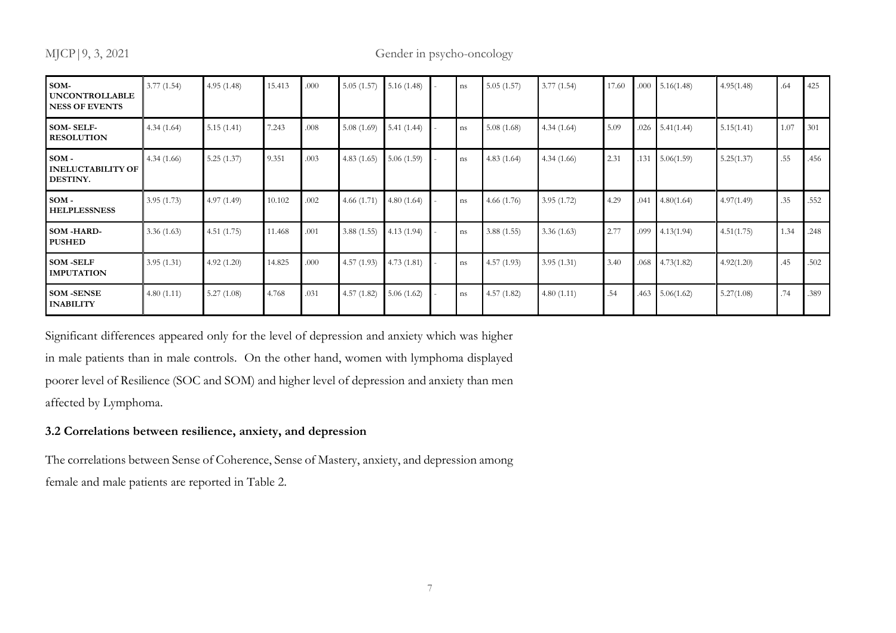## MJCP | 9, 3, 2021 Gender in psycho-oncology

| SOM-<br><b>UNCONTROLLABLE</b><br><b>NESS OF EVENTS</b> | 3.77(1.54) | 4.95(1.48) | 15.413 | .000 | 5.05(1.57) | 5.16(1.48) | ns | 5.05(1.57) | 3.77(1.54) | 17.60 | .000 | 5.16(1.48) | 4.95(1.48) | .64  | 425  |
|--------------------------------------------------------|------------|------------|--------|------|------------|------------|----|------------|------------|-------|------|------------|------------|------|------|
| <b>SOM-SELF-</b><br><b>RESOLUTION</b>                  | 4.34(1.64) | 5.15(1.41) | 7.243  | .008 | 5.08(1.69) | 5.41(1.44) | ns | 5.08(1.68) | 4.34(1.64) | 5.09  | .026 | 5.41(1.44) | 5.15(1.41) | 1.07 | 301  |
| $SOM -$<br><b>INELUCTABILITY OF</b><br>DESTINY.        | 4.34(1.66) | 5.25(1.37) | 9.351  | .003 | 4.83(1.65) | 5.06(1.59) | ns | 4.83(1.64) | 4.34(1.66) | 2.31  | .131 | 5.06(1.59) | 5.25(1.37) | .55  | .456 |
| $SOM -$<br><b>HELPLESSNESS</b>                         | 3.95(1.73) | 4.97(1.49) | 10.102 | .002 | 4.66(1.71) | 4.80(1.64) | ns | 4.66(1.76) | 3.95(1.72) | 4.29  | .041 | 4.80(1.64) | 4.97(1.49) | .35  | .552 |
| SOM-HARD-<br><b>PUSHED</b>                             | 3.36(1.63) | 4.51(1.75) | 11.468 | .001 | 3.88(1.55) | 4.13(1.94) | ns | 3.88(1.55) | 3.36(1.63) | 2.77  | .099 | 4.13(1.94) | 4.51(1.75) | 1.34 | .248 |
| <b>SOM-SELF</b><br><b>IMPUTATION</b>                   | 3.95(1.31) | 4.92(1.20) | 14.825 | .000 | 4.57(1.93) | 4.73(1.81) | ns | 4.57(1.93) | 3.95(1.31) | 3.40  | .068 | 4.73(1.82) | 4.92(1.20) | .45  | .502 |
| <b>SOM-SENSE</b><br><b>INABILITY</b>                   | 4.80(1.11) | 5.27(1.08) | 4.768  | .031 | 4.57(1.82) | 5.06(1.62) | ns | 4.57(1.82) | 4.80(1.11) | .54   | .463 | 5.06(1.62) | 5.27(1.08) | .74  | .389 |

Significant differences appeared only for the level of depression and anxiety which was higher in male patients than in male controls. On the other hand, women with lymphoma displayed poorer level of Resilience (SOC and SOM) and higher level of depression and anxiety than men affected by Lymphoma.

## **3.2 Correlations between resilience, anxiety, and depression**

The correlations between Sense of Coherence, Sense of Mastery, anxiety, and depression among female and male patients are reported in Table 2.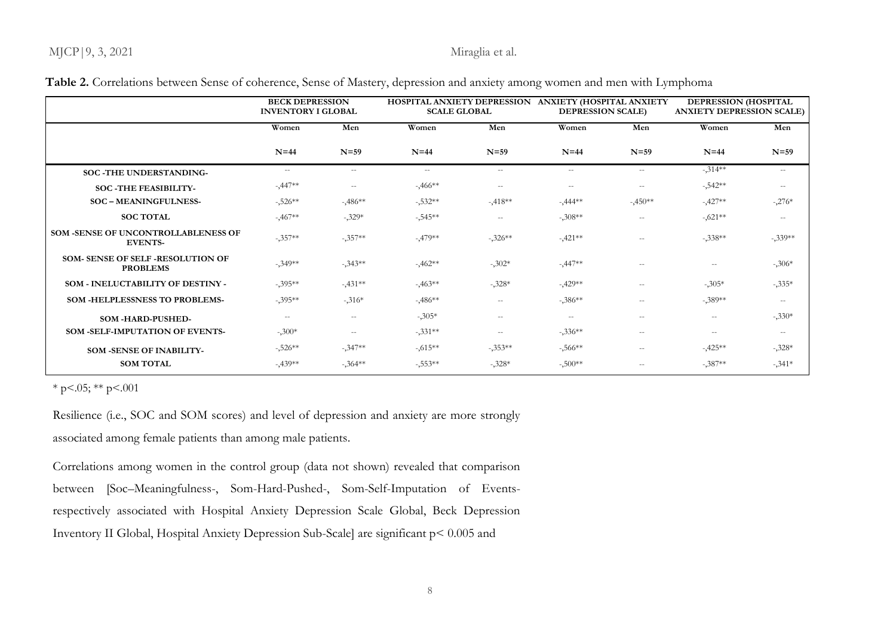## MJCP | 9, 3, 2021 Miraglia et al.

|                                                            | <b>BECK DEPRESSION</b><br><b>INVENTORY I GLOBAL</b> |                          | HOSPITAL ANXIETY DEPRESSION ANXIETY (HOSPITAL ANXIETY<br><b>SCALE GLOBAL</b> |                          | <b>DEPRESSION SCALE)</b> |                                                | DEPRESSION (HOSPITAL<br><b>ANXIETY DEPRESSION SCALE)</b> |                          |  |
|------------------------------------------------------------|-----------------------------------------------------|--------------------------|------------------------------------------------------------------------------|--------------------------|--------------------------|------------------------------------------------|----------------------------------------------------------|--------------------------|--|
|                                                            | Women<br>Men                                        |                          | Women                                                                        | Men                      | Women                    | Men                                            | Women                                                    | Men                      |  |
|                                                            | $N=44$                                              | $N=59$                   | $N=44$                                                                       | $N=59$                   | $N=44$                   | $N=59$                                         | $N=44$                                                   | $N=59$                   |  |
| SOC -THE UNDERSTANDING-                                    | $- -$                                               | $- -$                    | $\sim$ $\sim$                                                                | $\overline{\phantom{a}}$ | $\overline{\phantom{a}}$ | $\sim$ $-$                                     | $-.314**$                                                | $\overline{\phantom{a}}$ |  |
| <b>SOC-THE FEASIBILITY-</b>                                | $-447**$                                            | $- -$                    | $-3.466**$                                                                   | $- -$                    | $- -$                    | $- -$                                          | $-542**$                                                 | $- -$                    |  |
| <b>SOC - MEANINGFULNESS-</b>                               | $-526**$                                            | $-486**$                 | $-532**$                                                                     | $-418**$                 | $-0.444**$               | $-450**$                                       | $-427**$                                                 | $-.276*$                 |  |
| <b>SOC TOTAL</b>                                           | $-0.467**$                                          | $-.329*$                 | $-545**$                                                                     | $- -$                    | $-308**$                 | $- -$                                          | $-.621**$                                                | $-\,-$                   |  |
| SOM -SENSE OF UNCONTROLLABLENESS OF<br><b>EVENTS-</b>      | $-.357**$                                           | $-.357**$                | $-479**$                                                                     | $-.326**$                | $-421**$                 | $-\,-$                                         | $-.338**$                                                | $-339**$                 |  |
| <b>SOM- SENSE OF SELF-RESOLUTION OF</b><br><b>PROBLEMS</b> | $-349**$                                            | $-343**$                 | $-3.462**$                                                                   | $-302*$                  | $-0.447**$               | $- -$                                          | $\overline{\phantom{m}}$                                 | $-306*$                  |  |
| SOM - INELUCTABILITY OF DESTINY -                          | $-.395**$                                           | $-431**$                 | $-463**$                                                                     | $-.328*$                 | $-429**$                 | $\hspace{0.05cm} -$                            | $-.305*$                                                 | $-335*$                  |  |
| <b>SOM -HELPLESSNESS TO PROBLEMS-</b>                      | $-395**$                                            | $-316*$                  | $-486**$                                                                     | $- -$                    | $-386**$                 | $\overline{\phantom{a}}$                       | $-.389**$                                                | $- -$                    |  |
| SOM-HARD-PUSHED-                                           | $- -$                                               | $\overline{\phantom{a}}$ | $-305*$                                                                      | $- -$                    | $- -$                    | $\hspace{0.1mm}-\hspace{0.1mm}-\hspace{0.1mm}$ | $\overline{\phantom{m}}$                                 | $-330*$                  |  |
| SOM -SELF-IMPUTATION OF EVENTS-                            | $-.300*$                                            | $\overline{\phantom{m}}$ | $-331**$                                                                     | $- -$                    | $-336**$                 | $- -$                                          | $- -$                                                    | $- -$                    |  |
| <b>SOM -SENSE OF INABILITY-</b>                            | $-526**$                                            | $-347**$                 | $-0.615**$                                                                   | $-.353**$                | $-566**$                 | $\hspace{0.1mm}-\hspace{0.1mm}-\hspace{0.1mm}$ | $-425**$                                                 | $-.328*$                 |  |
| <b>SOM TOTAL</b>                                           | $-439**$                                            | $-364**$                 | $-0.553**$                                                                   | $-.328*$                 | $-500**$                 | $- -$                                          | $-.387**$                                                | $-341*$                  |  |

## **Table 2.** Correlations between Sense of coherence, Sense of Mastery, depression and anxiety among women and men with Lymphoma

 $*$  p < 0.05;  $*$  p < 0.001

Resilience (i.e., SOC and SOM scores) and level of depression and anxiety are more strongly associated among female patients than among male patients.

Correlations among women in the control group (data not shown) revealed that comparison between [Soc–Meaningfulness-, Som-Hard-Pushed-, Som-Self-Imputation of Eventsrespectively associated with Hospital Anxiety Depression Scale Global, Beck Depression Inventory II Global, Hospital Anxiety Depression Sub-Scale] are significant p< 0.005 and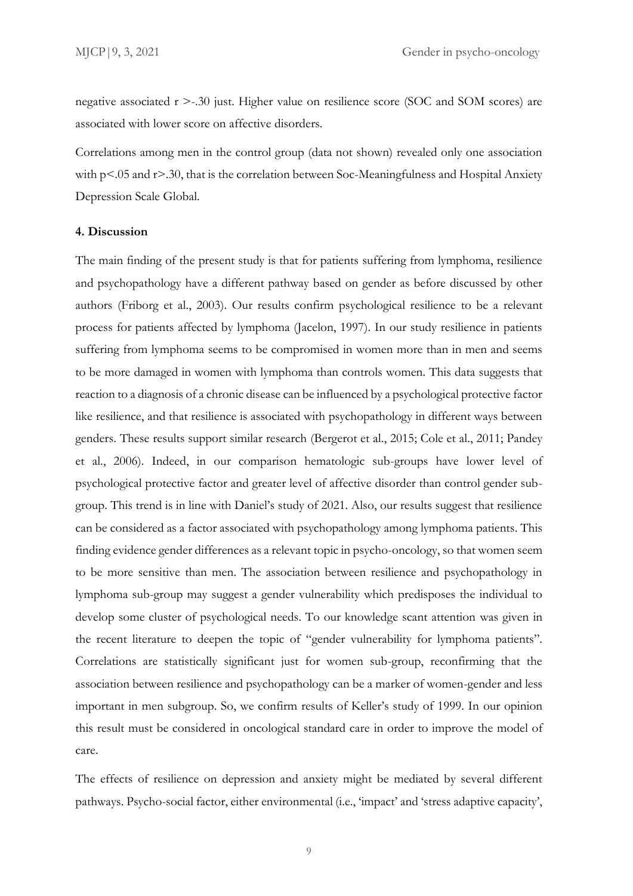negative associated r >-.30 just. Higher value on resilience score (SOC and SOM scores) are associated with lower score on affective disorders.

Correlations among men in the control group (data not shown) revealed only one association with  $p<0.05$  and  $r>0.30$ , that is the correlation between Soc-Meaningfulness and Hospital Anxiety Depression Scale Global.

## **4. Discussion**

The main finding of the present study is that for patients suffering from lymphoma, resilience and psychopathology have a different pathway based on gender as before discussed by other authors (Friborg et al., 2003). Our results confirm psychological resilience to be a relevant process for patients affected by lymphoma (Jacelon, 1997). In our study resilience in patients suffering from lymphoma seems to be compromised in women more than in men and seems to be more damaged in women with lymphoma than controls women. This data suggests that reaction to a diagnosis of a chronic disease can be influenced by a psychological protective factor like resilience, and that resilience is associated with psychopathology in different ways between genders. These results support similar research (Bergerot et al., 2015; Cole et al., 2011; Pandey et al., 2006). Indeed, in our comparison hematologic sub-groups have lower level of psychological protective factor and greater level of affective disorder than control gender subgroup. This trend is in line with Daniel's study of 2021. Also, our results suggest that resilience can be considered as a factor associated with psychopathology among lymphoma patients. This finding evidence gender differences as a relevant topic in psycho-oncology, so that women seem to be more sensitive than men. The association between resilience and psychopathology in lymphoma sub-group may suggest a gender vulnerability which predisposes the individual to develop some cluster of psychological needs. To our knowledge scant attention was given in the recent literature to deepen the topic of "gender vulnerability for lymphoma patients". Correlations are statistically significant just for women sub-group, reconfirming that the association between resilience and psychopathology can be a marker of women-gender and less important in men subgroup. So, we confirm results of Keller's study of 1999. In our opinion this result must be considered in oncological standard care in order to improve the model of care.

The effects of resilience on depression and anxiety might be mediated by several different pathways. Psycho-social factor, either environmental (i.e., 'impact' and 'stress adaptive capacity',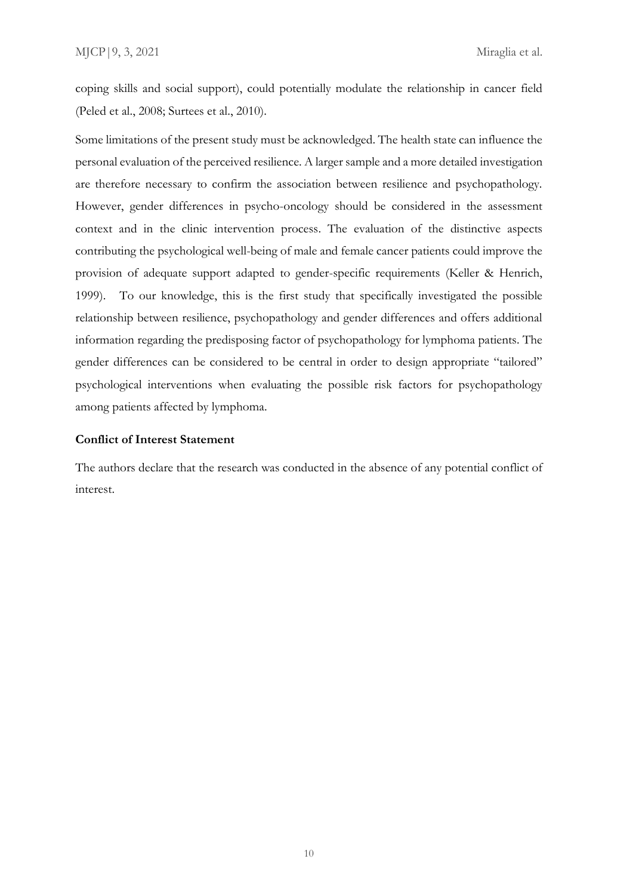coping skills and social support), could potentially modulate the relationship in cancer field (Peled et al., 2008; Surtees et al., 2010).

Some limitations of the present study must be acknowledged. The health state can influence the personal evaluation of the perceived resilience. A larger sample and a more detailed investigation are therefore necessary to confirm the association between resilience and psychopathology. However, gender differences in psycho-oncology should be considered in the assessment context and in the clinic intervention process. The evaluation of the distinctive aspects contributing the psychological well-being of male and female cancer patients could improve the provision of adequate support adapted to gender-specific requirements (Keller & Henrich, 1999). To our knowledge, this is the first study that specifically investigated the possible relationship between resilience, psychopathology and gender differences and offers additional information regarding the predisposing factor of psychopathology for lymphoma patients. The gender differences can be considered to be central in order to design appropriate "tailored" psychological interventions when evaluating the possible risk factors for psychopathology among patients affected by lymphoma.

## **Conflict of Interest Statement**

The authors declare that the research was conducted in the absence of any potential conflict of interest.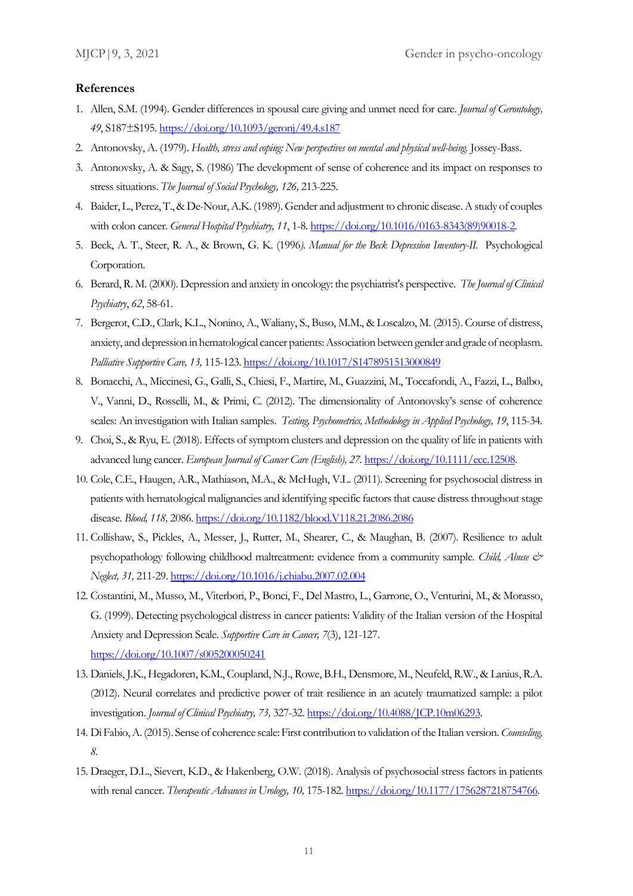### **References**

- 1. Allen, S.M. (1994). Gender differences in spousal care giving and unmet need for care. *Journal of Gerontology, 49*, S187±S195.<https://doi.org/10.1093/geronj/49.4.s187>
- 2. Antonovsky, A. (1979). *Health, stress and coping: New perspectives on mental and physical well-being.* Jossey-Bass.
- 3. Antonovsky, A. & Sagy, S. (1986) The development of sense of coherence and its impact on responses to stress situations. *The Journal of Social Psychology, 126,* 213-225.
- 4. Baider, L., Perez, T., & De-Nour, A.K. (1989). Gender and adjustment to chronic disease. A study of couples with colon cancer. *General Hospital Psychiatry, 11*, 1-8. [https://doi.org/10.1016/0163-8343\(89\)90018-2.](https://doi.org/10.1016/0163-8343(89)90018-2)
- 5. Beck, A. T., Steer, R. A., & Brown, G. K. (1996*). Manual for the Beck Depression Inventory-II.* Psychological Corporation.
- 6. Berard, R. M. (2000). Depression and anxiety in oncology: the psychiatrist's perspective. *The Journal of Clinical Psychiatry*, *62*, 58-61.
- 7. Bergerot, C.D., Clark, K.L., Nonino, A., Waliany, S., Buso, M.M., & Loscalzo, M. (2015). Course of distress, anxiety, and depression in hematological cancer patients: Association between gender and grade of neoplasm. *Palliative Supportive Care, 13,* 115-123[. https://doi.org/10.1017/S1478951513000849](https://doi.org/10.1017/S1478951513000849)
- 8. Bonacchi, A., Miccinesi, G., Galli, S., Chiesi, F., Martire, M., Guazzini, M., Toccafondi, A., Fazzi, L., Balbo, V., Vanni, D., Rosselli, M., & Primi, C. (2012). The dimensionality of Antonovsky's sense of coherence scales: An investigation with Italian samples. *Testing, Psychometrics, Methodology in Applied Psychology, 19*, 115-34.
- 9. Choi, S., & Ryu, E. (2018). Effects of symptom clusters and depression on the quality of life in patients with advanced lung cancer. *European Journal of Cancer Care (English), 27.* [https://doi.org/10.1111/ecc.12508.](https://doi.org/10.1111/ecc.12508)
- 10. Cole, C.E., Haugen, A.R., Mathiason, M.A., & McHugh, V.L. (2011). Screening for psychosocial distress in patients with hematological malignancies and identifying specific factors that cause distress throughout stage disease. *Blood, 118,* 2086[. https://doi.org/10.1182/blood.V118.21.2086.2086](https://doi.org/10.1182/blood.V118.21.2086.2086)
- 11. Collishaw, S., Pickles, A., Messer, J., Rutter, M., Shearer, C., & Maughan, B. (2007). Resilience to adult psychopathology following childhood maltreatment: evidence from a community sample. *Child, Abuse & Neglect, 31,* 211-29[. https://doi.org/10.1016/j.chiabu.2007.02.004](https://doi.org/10.1016/j.chiabu.2007.02.004)
- 12. Costantini, M., Musso, M., Viterbori, P., Bonci, F., Del Mastro, L., Garrone, O., Venturini, M., & Morasso, G. (1999). Detecting psychological distress in cancer patients: Validity of the Italian version of the Hospital Anxiety and Depression Scale. *Supportive Care in Cancer, 7*(3), 121-127. <https://doi.org/10.1007/s005200050241>
- 13. Daniels, J.K., Hegadoren, K.M., Coupland, N.J., Rowe, B.H., Densmore, M., Neufeld, R.W., & Lanius, R.A. (2012). Neural correlates and predictive power of trait resilience in an acutely traumatized sample: a pilot investigation. *Journal of Clinical Psychiatry, 73,* 327-32. [https://doi.org/10.4088/JCP.10m06293.](https://doi.org/10.4088/JCP.10m06293)
- 14. Di Fabio, A. (2015). Sense of coherence scale: First contribution to validation of the Italian version. *Counseling, 8.*
- 15. Draeger, D.L., Sievert, K.D., & Hakenberg, O.W. (2018). Analysis of psychosocial stress factors in patients with renal cancer. *Therapeutic Advances in Urology, 10,* 175-182[. https://doi.org/10.1177/1756287218754766.](https://doi.org/10.1177/1756287218754766)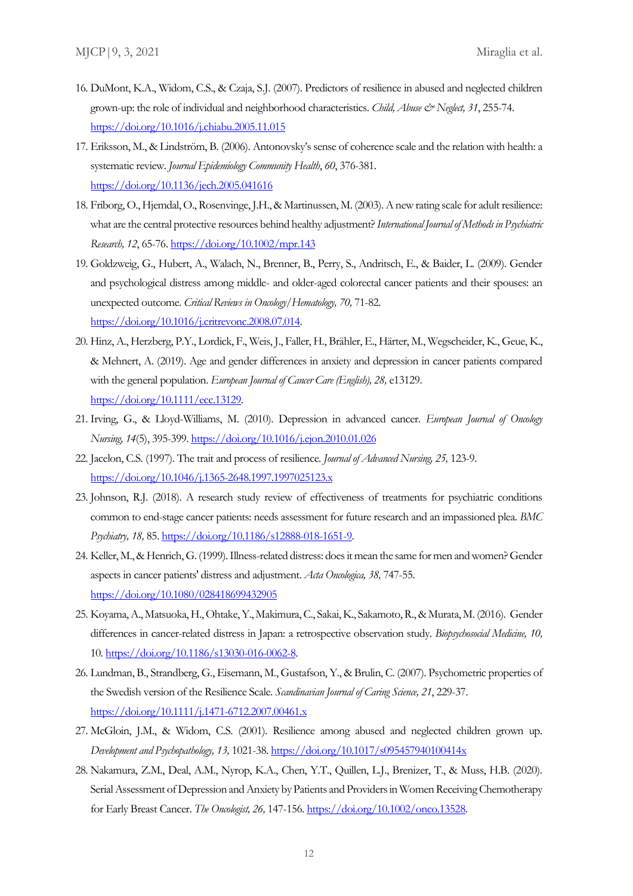- 16. DuMont, K.A., Widom, C.S., & Czaja, S.J. (2007). Predictors of resilience in abused and neglected children grown-up: the role of individual and neighborhood characteristics. *Child, Abuse & Neglect, 31*, 255-74. <https://doi.org/10.1016/j.chiabu.2005.11.015>
- 17. Eriksson, M., & Lindström, B. (2006). Antonovsky's sense of coherence scale and the relation with health: a systematic review. *Journal Epidemiology Community Health*, *60*, 376-381. <https://doi.org/10.1136/jech.2005.041616>
- 18. Friborg, O., Hjemdal, O., Rosenvinge, J.H., & Martinussen, M. (2003). A new rating scale for adult resilience: what are the central protective resources behind healthy adjustment? *International Journal of Methods in Psychiatric Research, 12*, 65-76[. https://doi.org/10.1002/mpr.143](https://doi.org/10.1002/mpr.143)
- 19. Goldzweig, G., Hubert, A., Walach, N., Brenner, B., Perry, S., Andritsch, E., & Baider, L. (2009). Gender and psychological distress among middle- and older-aged colorectal cancer patients and their spouses: an unexpected outcome. *Critical Reviews in Oncology/Hematology, 70,* 71-82. [https://doi.org/10.1016/j.critrevonc.2008.07.014.](https://doi.org/10.1016/j.critrevonc.2008.07.014)
- 20. Hinz, A., Herzberg, P.Y., Lordick, F., Weis, J., Faller, H., Brähler, E., Härter, M., Wegscheider, K., Geue, K., & Mehnert, A. (2019). Age and gender differences in anxiety and depression in cancer patients compared with the general population. *European Journal of Cancer Care (English), 28,* e13129. [https://doi.org/10.1111/ecc.13129.](https://doi.org/10.1111/ecc.13129)
- 21. Irving, G., & Lloyd-Williams, M. (2010). Depression in advanced cancer. *European Journal of Oncology Nursing, 14*(5), 395-399. <https://doi.org/10.1016/j.ejon.2010.01.026>
- 22. Jacelon, C.S. (1997). The trait and process of resilience. *Journal of Advanced Nursing, 25,* 123-9. <https://doi.org/10.1046/j.1365-2648.1997.1997025123.x>
- 23. Johnson, R.J. (2018). A research study review of effectiveness of treatments for psychiatric conditions common to end-stage cancer patients: needs assessment for future research and an impassioned plea. *BMC Psychiatry, 18,* 85[. https://doi.org/10.1186/s12888-018-1651-9.](https://doi.org/10.1186/s12888-018-1651-9)
- 24. Keller, M., & Henrich, G. (1999). Illness-related distress: does it mean the same for men and women? Gender aspects in cancer patients' distress and adjustment. *Acta Oncologica, 38,* 747-55. <https://doi.org/10.1080/028418699432905>
- 25. Koyama, A., Matsuoka, H., Ohtake, Y., Makimura, C., Sakai, K., Sakamoto, R., & Murata, M. (2016). Gender differences in cancer-related distress in Japan: a retrospective observation study. *Biopsychosocial Medicine, 10,* 10[. https://doi.org/10.1186/s13030-016-0062-8.](https://doi.org/10.1186/s13030-016-0062-8)
- 26. Lundman, B., Strandberg, G., Eisemann, M., Gustafson, Y., & Brulin, C. (2007). Psychometric properties of the Swedish version of the Resilience Scale. *Scandinavian Journal of Caring Science, 21*, 229-37. <https://doi.org/10.1111/j.1471-6712.2007.00461.x>
- 27. McGloin, J.M., & Widom, C.S. (2001). Resilience among abused and neglected children grown up. *Development and Psychopathology, 13,* 1021-38.<https://doi.org/10.1017/s095457940100414x>
- 28. Nakamura, Z.M., Deal, A.M., Nyrop, K.A., Chen, Y.T., Quillen, L.J., Brenizer, T., & Muss, H.B. (2020). Serial Assessment of Depression and Anxiety by Patients and Providers in Women Receiving Chemotherapy for Early Breast Cancer. *The Oncologist, 26,* 147-156[. https://doi.org/10.1002/onco.13528.](https://doi.org/10.1002/onco.13528)